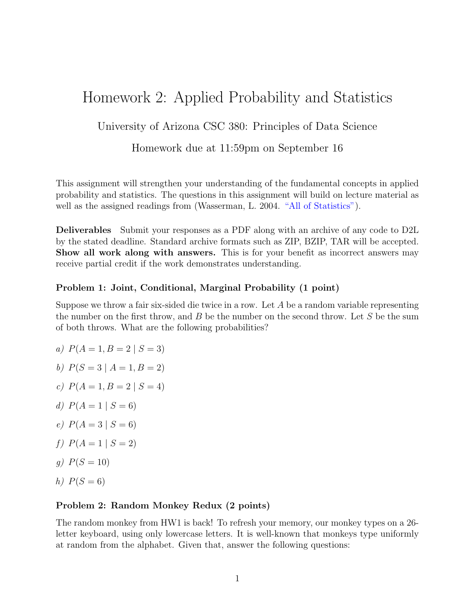# Homework 2: Applied Probability and Statistics

## University of Arizona CSC 380: Principles of Data Science

### Homework due at 11:59pm on September 16

This assignment will strengthen your understanding of the fundamental concepts in applied probability and statistics. The questions in this assignment will build on lecture material as well as the assigned readings from (Wasserman, L. 2004. ["All of Statistics"\)](https://link.springer.com/book/10.1007/978-0-387-21736-9).

Deliverables Submit your responses as a PDF along with an archive of any code to D2L by the stated deadline. Standard archive formats such as ZIP, BZIP, TAR will be accepted. Show all work along with answers. This is for your benefit as incorrect answers may receive partial credit if the work demonstrates understanding.

#### Problem 1: Joint, Conditional, Marginal Probability (1 point)

Suppose we throw a fair six-sided die twice in a row. Let  $A$  be a random variable representing the number on the first throw, and  $B$  be the number on the second throw. Let  $S$  be the sum of both throws. What are the following probabilities?

- a)  $P(A = 1, B = 2 | S = 3)$
- b)  $P(S = 3 | A = 1, B = 2)$
- c)  $P(A = 1, B = 2 | S = 4)$
- d)  $P(A = 1 | S = 6)$
- e)  $P(A = 3 | S = 6)$
- f)  $P(A = 1 | S = 2)$
- q)  $P(S = 10)$
- h)  $P(S = 6)$

#### Problem 2: Random Monkey Redux (2 points)

The random monkey from HW1 is back! To refresh your memory, our monkey types on a 26 letter keyboard, using only lowercase letters. It is well-known that monkeys type uniformly at random from the alphabet. Given that, answer the following questions: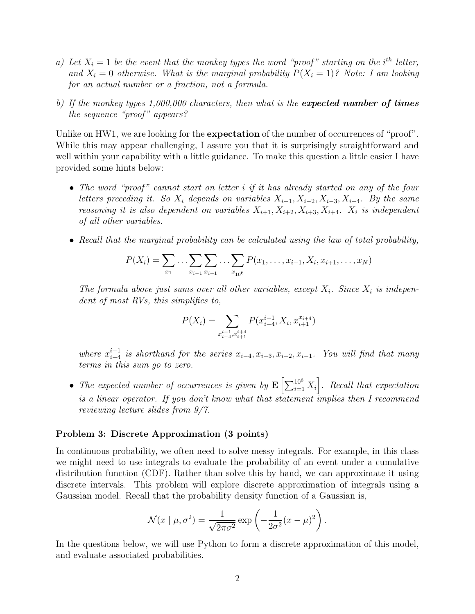- a) Let  $X_i = 1$  be the event that the monkey types the word "proof" starting on the i<sup>th</sup> letter, and  $X_i = 0$  otherwise. What is the marginal probability  $P(X_i = 1)$ ? Note: I am looking for an actual number or a fraction, not a formula.
- b) If the monkey types  $1,000,000$  characters, then what is the **expected number of times** the sequence "proof" appears?

Unlike on HW1, we are looking for the **expectation** of the number of occurrences of "proof". While this may appear challenging, I assure you that it is surprisingly straightforward and well within your capability with a little guidance. To make this question a little easier I have provided some hints below:

- The word "proof" cannot start on letter i if it has already started on any of the four letters preceding it. So  $X_i$  depends on variables  $X_{i-1}, X_{i-2}, X_{i-3}, X_{i-4}$ . By the same reasoning it is also dependent on variables  $X_{i+1}, X_{i+2}, X_{i+3}, X_{i+4}$ .  $X_i$  is independent of all other variables.
- Recall that the marginal probability can be calculated using the law of total probability,

$$
P(X_i) = \sum_{x_1} \dots \sum_{x_{i-1}} \sum_{x_{i+1}} \dots \sum_{x_{106}} P(x_1, \dots, x_{i-1}, X_i, x_{i+1}, \dots, x_N)
$$

The formula above just sums over all other variables, except  $X_i$ . Since  $X_i$  is independent of most RVs, this simplifies to,

$$
P(X_i) = \sum_{\substack{i=1 \ n_i = 1 \ n_i + 1}} P(x_{i-4}^{i-1}, X_i, x_{i+1}^{x_{i+4}})
$$

where  $x_{i-4}^{i-1}$  $\sum_{i=4}^{i-1}$  is shorthand for the series  $x_{i-4}, x_{i-3}, x_{i-2}, x_{i-1}$ . You will find that many terms in this sum go to zero.

• The expected number of occurrences is given by  $\mathbf{E}\left[\sum_{i=1}^{10^6} X_i\right]$ . Recall that expectation is a linear operator. If you don't know what that statement implies then I recommend reviewing lecture slides from 9/7.

#### Problem 3: Discrete Approximation (3 points)

In continuous probability, we often need to solve messy integrals. For example, in this class we might need to use integrals to evaluate the probability of an event under a cumulative distribution function (CDF). Rather than solve this by hand, we can approximate it using discrete intervals. This problem will explore discrete approximation of integrals using a Gaussian model. Recall that the probability density function of a Gaussian is,

$$
\mathcal{N}(x \mid \mu, \sigma^2) = \frac{1}{\sqrt{2\pi\sigma^2}} \exp\left(-\frac{1}{2\sigma^2}(x-\mu)^2\right).
$$

In the questions below, we will use Python to form a discrete approximation of this model, and evaluate associated probabilities.